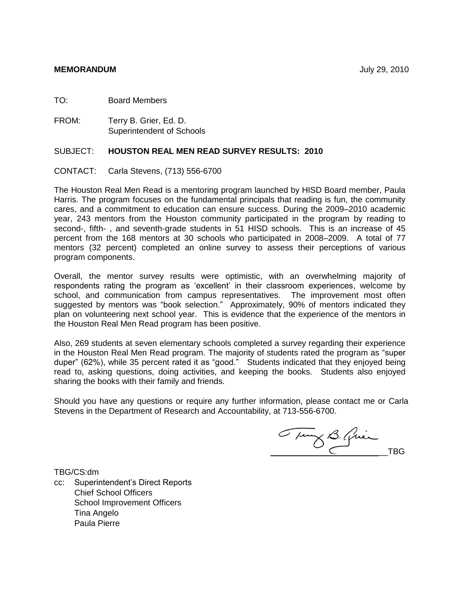TO: Board Members

FROM: Terry B. Grier, Ed. D. Superintendent of Schools

# SUBJECT: **HOUSTON REAL MEN READ SURVEY RESULTS: 2010**

# CONTACT: Carla Stevens, (713) 556-6700

The Houston Real Men Read is a mentoring program launched by HISD Board member, Paula Harris. The program focuses on the fundamental principals that reading is fun, the community cares, and a commitment to education can ensure success. During the 2009–2010 academic year, 243 mentors from the Houston community participated in the program by reading to second-, fifth- , and seventh-grade students in 51 HISD schools. This is an increase of 45 percent from the 168 mentors at 30 schools who participated in 2008–2009. A total of 77 mentors (32 percent) completed an online survey to assess their perceptions of various program components.

Overall, the mentor survey results were optimistic, with an overwhelming majority of respondents rating the program as "excellent" in their classroom experiences, welcome by school, and communication from campus representatives. The improvement most often suggested by mentors was "book selection." Approximately, 90% of mentors indicated they plan on volunteering next school year. This is evidence that the experience of the mentors in the Houston Real Men Read program has been positive.

Also, 269 students at seven elementary schools completed a survey regarding their experience in the Houston Real Men Read program. The majority of students rated the program as "super duper" (62%), while 35 percent rated it as "good." Students indicated that they enjoyed being read to, asking questions, doing activities, and keeping the books. Students also enjoyed sharing the books with their family and friends.

Should you have any questions or require any further information, please contact me or Carla Stevens in the Department of Research and Accountability, at 713-556-6700.

Tung B. Quien

TBG/CS:dm

cc: Superintendent"s Direct Reports Chief School Officers School Improvement Officers Tina Angelo Paula Pierre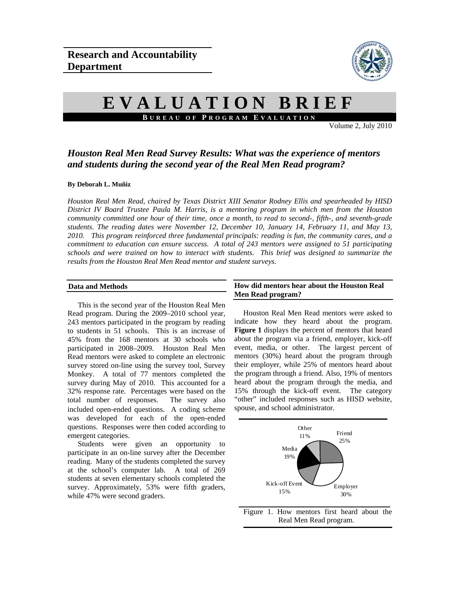

# **EVALUATION BRIEF B UREAU OF P ROGRAM E VALUATION**

Volume 2, July 2010

# *Houston Real Men Read Survey Results: What was the experience of mentors and students during the second year of the Real Men Read program?*

#### **By Deborah L. Muñiz**

*Houston Real Men Read, chaired by Texas District XIII Senator Rodney Ellis and spearheaded by HISD District IV Board Trustee Paula M. Harris, is a mentoring program in which men from the Houston community committed one hour of their time, once a month, to read to second-, fifth-, and seventh-grade students. The reading dates were November 12, December 10, January 14, February 11, and May 13, 2010. This program reinforced three fundamental principals: reading is fun, the community cares, and a commitment to education can ensure success. A total of 243 mentors were assigned to 51 participating schools and were trained on how to interact with students. This brief was designed to summarize the results from the Houston Real Men Read mentor and student surveys.* 

#### **Data and Methods**

This is the second year of the Houston Real Men Read program. During the 2009–2010 school year, 243 mentors participated in the program by reading to students in 51 schools. This is an increase of 45% from the 168 mentors at 30 schools who participated in 2008–2009. Houston Real Men Read mentors were asked to complete an electronic survey stored on-line using the survey tool, Survey Monkey. A total of 77 mentors completed the survey during May of 2010. This accounted for a 32% response rate. Percentages were based on the total number of responses. The survey also included open-ended questions. A coding scheme was developed for each of the open-ended questions. Responses were then coded according to emergent categories.

Students were given an opportunity to participate in an on-line survey after the December reading. Many of the students completed the survey at the school's computer lab. A total of 269 students at seven elementary schools completed the survey. Approximately, 53% were fifth graders, while 47% were second graders.

#### **How did mentors hear about the Houston Real Men Read program?**

 Houston Real Men Read mentors were asked to indicate how they heard about the program. **Figure 1** displays the percent of mentors that heard about the program via a friend, employer, kick-off event, media, or other. The largest percent of mentors (30%) heard about the program through their employer, while 25% of mentors heard about the program through a friend. Also, 19% of mentors heard about the program through the media, and 15% through the kick-off event. The category "other" included responses such as HISD website, spouse, and school administrator.



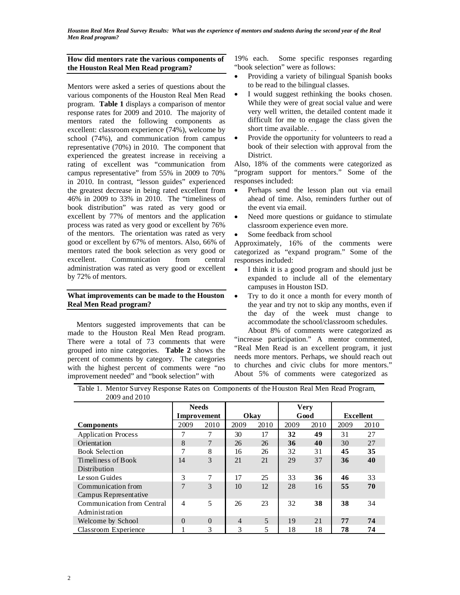*Houston Real Men Read Survey Results: What was the experience of mentors and students during the second year of the Real Men Read program?* 

#### **How did mentors rate the various components of the Houston Real Men Read program?**

Mentors were asked a series of questions about the various components of the Houston Real Men Read program. **Table 1** displays a comparison of mentor response rates for 2009 and 2010. The majority of mentors rated the following components as excellent: classroom experience (74%), welcome by school (74%), and communication from campus representative (70%) in 2010. The component that experienced the greatest increase in receiving a rating of excellent was "communication from campus representative" from 55% in 2009 to 70% in 2010. In contrast, "lesson guides" experienced the greatest decrease in being rated excellent from 46% in 2009 to 33% in 2010. The "timeliness of book distribution" was rated as very good or excellent by 77% of mentors and the application process was rated as very good or excellent by 76% of the mentors. The orientation was rated as very good or excellent by 67% of mentors. Also, 66% of mentors rated the book selection as very good or excellent. Communication from central administration was rated as very good or excellent by 72% of mentors.

#### **What improvements can be made to the Houston Real Men Read program?**

 Mentors suggested improvements that can be made to the Houston Real Men Read program. There were a total of 73 comments that were grouped into nine categories. **Table 2** shows the percent of comments by category. The categories with the highest percent of comments were "no improvement needed" and "book selection" with

19% each. Some specific responses regarding "book selection" were as follows:

- Providing a variety of bilingual Spanish books to be read to the bilingual classes.
- I would suggest rethinking the books chosen. While they were of great social value and were very well written, the detailed content made it difficult for me to engage the class given the short time available. . .
- Provide the opportunity for volunteers to read a book of their selection with approval from the District.

Also, 18% of the comments were categorized as "program support for mentors." Some of the responses included:

- Perhaps send the lesson plan out via email ahead of time. Also, reminders further out of the event via email.
- Need more questions or guidance to stimulate classroom experience even more.
- Some feedback from school

Approximately, 16% of the comments were categorized as "expand program." Some of the responses included:

- I think it is a good program and should just be expanded to include all of the elementary campuses in Houston ISD.
- Try to do it once a month for every month of the year and try not to skip any months, even if the day of the week must change to accommodate the school/classroom schedules.

About 8% of comments were categorized as "increase participation." A mentor commented, "Real Men Read is an excellent program, it just needs more mentors. Perhaps, we should reach out to churches and civic clubs for more mentors." About 5% of comments were categorized as

| Table 1. Mentor Survey Response Rates on Components of the Houston Real Men Read Program, |  |  |  |
|-------------------------------------------------------------------------------------------|--|--|--|
| 2009 and 2010                                                                             |  |  |  |

| $2002$ and $2010$          |                |          |                |      |             |      |                  |      |
|----------------------------|----------------|----------|----------------|------|-------------|------|------------------|------|
|                            | <b>Needs</b>   |          |                |      | <b>Very</b> |      |                  |      |
|                            | Improvement    |          | Okav           |      | Good        |      | <b>Excellent</b> |      |
| Components                 | 2009           | 2010     | 2009           | 2010 | 2009        | 2010 | 2009             | 2010 |
| <b>Application Process</b> |                | 7        | 30             | 17   | 32          | 49   | 31               | 27   |
| Orientation                | 8              | 7        | 26             | 26   | 36          | 40   | 30               | 27   |
| Book Selection             | 7              | 8        | 16             | 26   | 32          | 31   | 45               | 35   |
| Timeliness of Book         | 14             | 3        | 21             | 21   | 29          | 37   | 36               | 40   |
| Distribution               |                |          |                |      |             |      |                  |      |
| Lesson Guides              | 3              | 7        | 17             | 25   | 33          | 36   | 46               | 33   |
| Communication from         | $\overline{7}$ | 3        | 10             | 12   | 28          | 16   | 55               | 70   |
| Campus Representative      |                |          |                |      |             |      |                  |      |
| Communication from Central | 4              | 5        | 26             | 23   | 32          | 38   | 38               | 34   |
| Administration             |                |          |                |      |             |      |                  |      |
| Welcome by School          | $\Omega$       | $\theta$ | $\overline{4}$ | 5    | 19          | 21   | 77               | 74   |
| Classroom Experience       |                | 3        | 3              | 5    | 18          | 18   | 78               | 74   |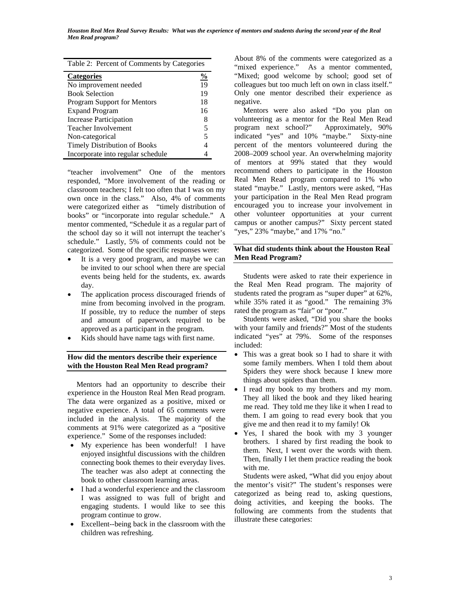|  | Table 2: Percent of Comments by Categories |
|--|--------------------------------------------|
|  |                                            |

| <b>Categories</b>                   | $\%$ |
|-------------------------------------|------|
| No improvement needed               | 19   |
| <b>Book Selection</b>               | 19   |
| Program Support for Mentors         | 18   |
| <b>Expand Program</b>               | 16   |
| <b>Increase Participation</b>       | 8    |
| <b>Teacher Involvement</b>          | 5    |
| Non-categorical                     | 5    |
| <b>Timely Distribution of Books</b> |      |
| Incorporate into regular schedule   |      |

"teacher involvement" One of the mentors responded, "More involvement of the reading or classroom teachers; I felt too often that I was on my own once in the class." Also, 4% of comments were categorized either as "timely distribution of books" or "incorporate into regular schedule." A mentor commented, "Schedule it as a regular part of the school day so it will not interrupt the teacher's schedule." Lastly, 5% of comments could not be categorized. Some of the specific responses were:

- It is a very good program, and maybe we can be invited to our school when there are special events being held for the students, ex. awards day.
- The application process discouraged friends of mine from becoming involved in the program. If possible, try to reduce the number of steps and amount of paperwork required to be approved as a participant in the program.
- Kids should have name tags with first name.

## **How did the mentors describe their experience with the Houston Real Men Read program?**

 Mentors had an opportunity to describe their experience in the Houston Real Men Read program. The data were organized as a positive, mixed or negative experience. A total of 65 comments were included in the analysis. The majority of the comments at 91% were categorized as a "positive experience." Some of the responses included:

- My experience has been wonderful! I have enjoyed insightful discussions with the children connecting book themes to their everyday lives. The teacher was also adept at connecting the book to other classroom learning areas.
- I had a wonderful experience and the classroom I was assigned to was full of bright and engaging students. I would like to see this program continue to grow.
- Excellent--being back in the classroom with the children was refreshing.

About 8% of the comments were categorized as a "mixed experience." As a mentor commented, "Mixed; good welcome by school; good set of colleagues but too much left on own in class itself." Only one mentor described their experience as negative.

 Mentors were also asked "Do you plan on volunteering as a mentor for the Real Men Read program next school?" Approximately, 90% indicated "yes" and 10% "maybe." Sixty-nine percent of the mentors volunteered during the 2008–2009 school year. An overwhelming majority of mentors at 99% stated that they would recommend others to participate in the Houston Real Men Read program compared to 1% who stated "maybe." Lastly, mentors were asked, "Has your participation in the Real Men Read program encouraged you to increase your involvement in other volunteer opportunities at your current campus or another campus?" Sixty percent stated "yes," 23% "maybe," and 17% "no."

## **What did students think about the Houston Real Men Read Program?**

Students were asked to rate their experience in the Real Men Read program. The majority of students rated the program as "super duper" at 62%, while 35% rated it as "good." The remaining 3% rated the program as "fair" or "poor."

Students were asked, "Did you share the books with your family and friends?" Most of the students indicated "yes" at 79%. Some of the responses included:

- This was a great book so I had to share it with some family members. When I told them about Spiders they were shock because I knew more things about spiders than them.
- I read my book to my brothers and my mom. They all liked the book and they liked hearing me read. They told me they like it when I read to them. I am going to read every book that you give me and then read it to my family! Ok
- Yes, I shared the book with my 3 younger brothers. I shared by first reading the book to them. Next, I went over the words with them. Then, finally I let them practice reading the book with me.

 Students were asked, "What did you enjoy about the mentor's visit?" The student's responses were categorized as being read to, asking questions, doing activities, and keeping the books. The following are comments from the students that illustrate these categories: